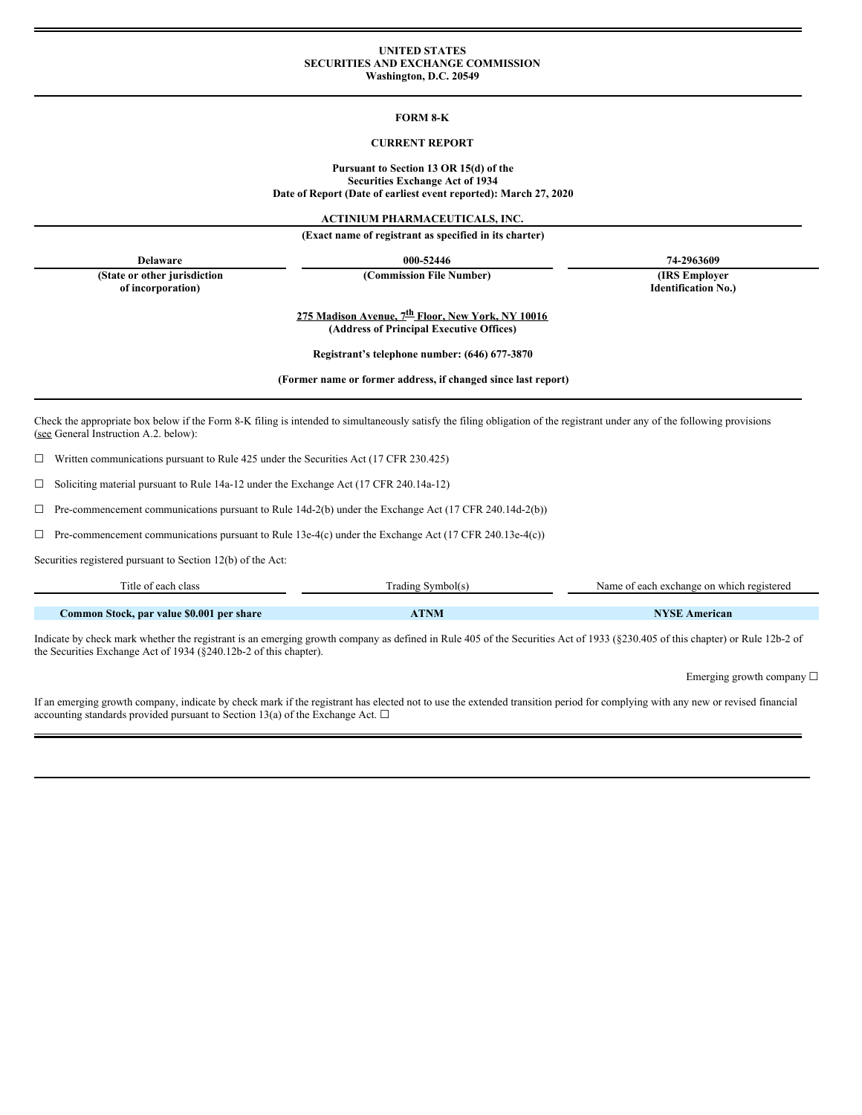#### **UNITED STATES SECURITIES AND EXCHANGE COMMISSION Washington, D.C. 20549**

#### **FORM 8-K**

#### **CURRENT REPORT**

### **Pursuant to Section 13 OR 15(d) of the Securities Exchange Act of 1934 Date of Report (Date of earliest event reported): March 27, 2020**

**ACTINIUM PHARMACEUTICALS, INC.**

**(Exact name of registrant as specified in its charter)**

**Delaware 000-52446 74-2963609**

**(State or other jurisdiction of incorporation)**

**(Commission File Number) (IRS Employer**

**Identification No.)**

**275 Madison Avenue, 7 th Floor, New York, NY 10016 (Address of Principal Executive Offices)**

**Registrant's telephone number: (646) 677-3870**

**(Former name or former address, if changed since last report)**

Check the appropriate box below if the Form 8-K filing is intended to simultaneously satisfy the filing obligation of the registrant under any of the following provisions (see General Instruction A.2. below):

☐ Written communications pursuant to Rule 425 under the Securities Act (17 CFR 230.425)

☐ Soliciting material pursuant to Rule 14a-12 under the Exchange Act (17 CFR 240.14a-12)

☐ Pre-commencement communications pursuant to Rule 14d-2(b) under the Exchange Act (17 CFR 240.14d-2(b))

 $\Box$  Pre-commencement communications pursuant to Rule 13e-4(c) under the Exchange Act (17 CFR 240.13e-4(c))

Securities registered pursuant to Section 12(b) of the Act:

| Title of each class                       | Trading Symbol(s) | Name of each exchange on which registered |
|-------------------------------------------|-------------------|-------------------------------------------|
|                                           |                   |                                           |
| Common Stock, par value \$0.001 per share | ATNM              | <b>NYSE American</b>                      |

Indicate by check mark whether the registrant is an emerging growth company as defined in Rule 405 of the Securities Act of 1933 (§230.405 of this chapter) or Rule 12b-2 of the Securities Exchange Act of 1934 (§240.12b-2 of this chapter).

Emerging growth company  $\Box$ 

If an emerging growth company, indicate by check mark if the registrant has elected not to use the extended transition period for complying with any new or revised financial accounting standards provided pursuant to Section 13(a) of the Exchange Act.  $\square$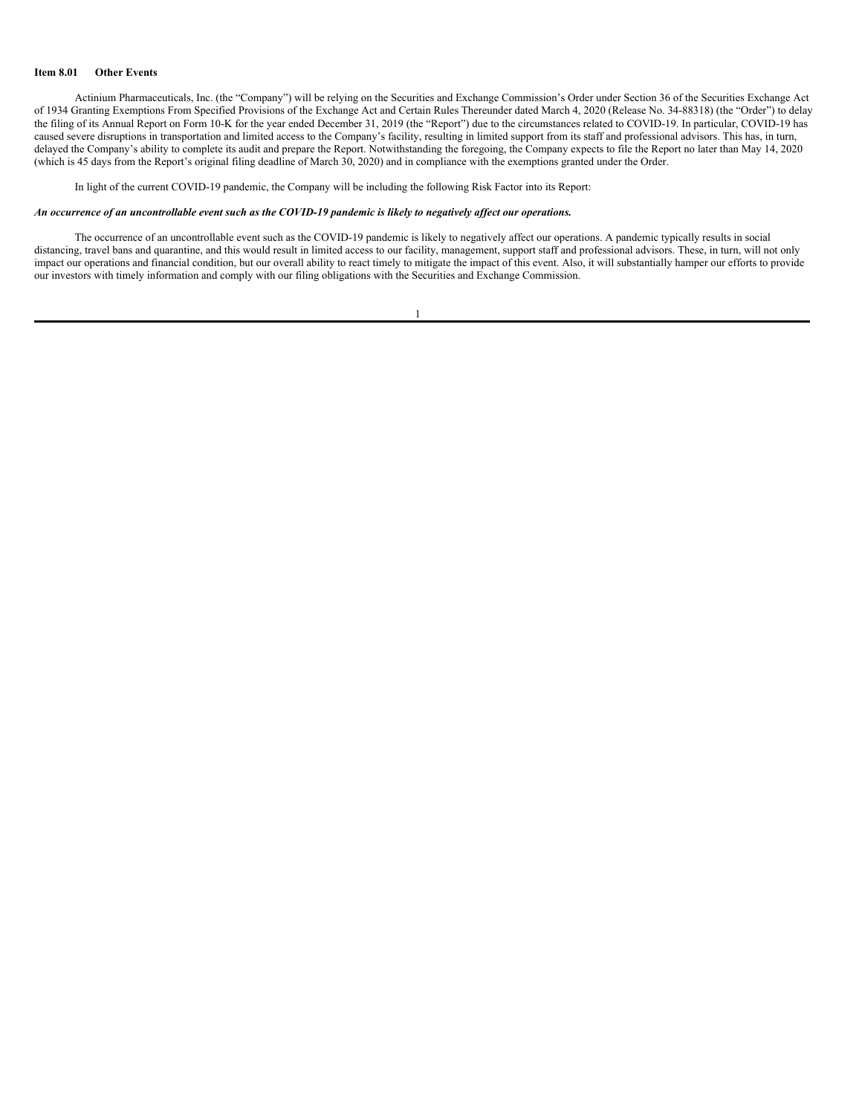#### **Item 8.01 Other Events**

Actinium Pharmaceuticals, Inc. (the "Company") will be relying on the Securities and Exchange Commission's Order under Section 36 of the Securities Exchange Act of 1934 Granting Exemptions From Specified Provisions of the Exchange Act and Certain Rules Thereunder dated March 4, 2020 (Release No. 34-88318) (the "Order") to delay the filing of its Annual Report on Form 10-K for the year ended December 31, 2019 (the "Report") due to the circumstances related to COVID-19. In particular, COVID-19 has caused severe disruptions in transportation and limited access to the Company's facility, resulting in limited support from its staff and professional advisors. This has, in turn, delayed the Company's ability to complete its audit and prepare the Report. Notwithstanding the foregoing, the Company expects to file the Report no later than May 14, 2020 (which is 45 days from the Report's original filing deadline of March 30, 2020) and in compliance with the exemptions granted under the Order.

In light of the current COVID-19 pandemic, the Company will be including the following Risk Factor into its Report:

#### An occurrence of an uncontrollable event such as the COVID-19 pandemic is likely to negatively affect our operations.

The occurrence of an uncontrollable event such as the COVID-19 pandemic is likely to negatively affect our operations. A pandemic typically results in social distancing, travel bans and quarantine, and this would result in limited access to our facility, management, support staff and professional advisors. These, in turn, will not only impact our operations and financial condition, but our overall ability to react timely to mitigate the impact of this event. Also, it will substantially hamper our efforts to provide our investors with timely information and comply with our filing obligations with the Securities and Exchange Commission.